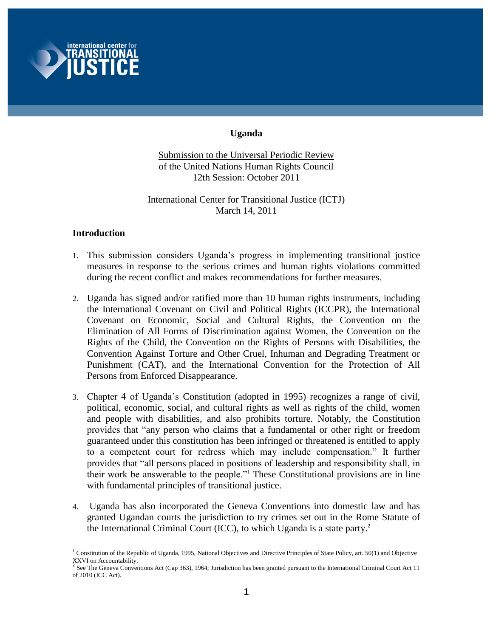

# **Uganda**

Submission to the Universal Periodic Review of the United Nations Human Rights Council 12th Session: October 2011

International Center for Transitional Justice (ICTJ) March 14, 2011

# **Introduction**

- 1. This submission considers Uganda's progress in implementing transitional justice measures in response to the serious crimes and human rights violations committed during the recent conflict and makes recommendations for further measures.
- 2. Uganda has signed and/or ratified more than 10 human rights instruments, including the International Covenant on Civil and Political Rights (ICCPR), the International Covenant on Economic, Social and Cultural Rights, the Convention on the Elimination of All Forms of Discrimination against Women, the Convention on the Rights of the Child, the Convention on the Rights of Persons with Disabilities, the Convention Against Torture and Other Cruel, Inhuman and Degrading Treatment or Punishment (CAT), and the International Convention for the Protection of All Persons from Enforced Disappearance.
- 3. Chapter 4 of Uganda's Constitution (adopted in 1995) recognizes a range of civil, political, economic, social, and cultural rights as well as rights of the child, women and people with disabilities, and also prohibits torture. Notably, the Constitution provides that "any person who claims that a fundamental or other right or freedom guaranteed under this constitution has been infringed or threatened is entitled to apply to a competent court for redress which may include compensation." It further provides that "all persons placed in positions of leadership and responsibility shall, in their work be answerable to the people."<sup>1</sup> These Constitutional provisions are in line with fundamental principles of transitional justice.
- 4. Uganda has also incorporated the Geneva Conventions into domestic law and has granted Ugandan courts the jurisdiction to try crimes set out in the Rome Statute of the International Criminal Court (ICC), to which Uganda is a state party.<sup>2</sup>

 $\overline{a}$ <sup>1</sup> Constitution of the Republic of Uganda, 1995, National Objectives and Directive Principles of State Policy, art. 50(1) and Objective XXVI on Accountability.<br><sup>2</sup> See The Geneva Conventions Act (Cap 363), 1964; Jurisdiction has been granted pursuant to the International Criminal Court Act 11

of 2010 (ICC Act).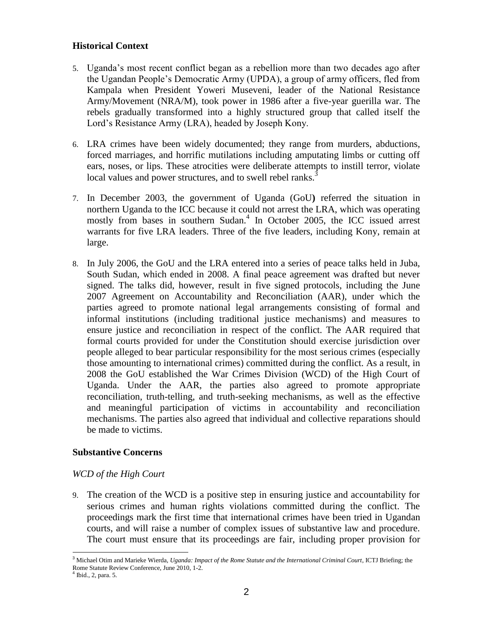### **Historical Context**

- 5. Uganda's most recent conflict began as a rebellion more than two decades ago after the Ugandan People's Democratic Army (UPDA), a group of army officers, fled from Kampala when President Yoweri Museveni, leader of the National Resistance Army/Movement (NRA/M), took power in 1986 after a five-year guerilla war. The rebels gradually transformed into a highly structured group that called itself the Lord's Resistance Army (LRA), headed by Joseph Kony.
- 6. LRA crimes have been widely documented; they range from murders, abductions, forced marriages, and horrific mutilations including amputating limbs or cutting off ears, noses, or lips. These atrocities were deliberate attempts to instill terror, violate local values and power structures, and to swell rebel ranks.<sup>3</sup>
- 7. In December 2003, the government of Uganda (GoU**)** referred the situation in northern Uganda to the ICC because it could not arrest the LRA, which was operating mostly from bases in southern Sudan.<sup>4</sup> In October 2005, the ICC issued arrest warrants for five LRA leaders. Three of the five leaders, including Kony, remain at large.
- 8. In July 2006, the GoU and the LRA entered into a series of peace talks held in Juba, South Sudan, which ended in 2008. A final peace agreement was drafted but never signed. The talks did, however, result in five signed protocols, including the June 2007 Agreement on Accountability and Reconciliation (AAR), under which the parties agreed to promote national legal arrangements consisting of formal and informal institutions (including traditional justice mechanisms) and measures to ensure justice and reconciliation in respect of the conflict. The AAR required that formal courts provided for under the Constitution should exercise jurisdiction over people alleged to bear particular responsibility for the most serious crimes (especially those amounting to international crimes) committed during the conflict. As a result, in 2008 the GoU established the War Crimes Division (WCD) of the High Court of Uganda. Under the AAR, the parties also agreed to promote appropriate reconciliation, truth-telling, and truth-seeking mechanisms, as well as the effective and meaningful participation of victims in accountability and reconciliation mechanisms. The parties also agreed that individual and collective reparations should be made to victims.

#### **Substantive Concerns**

#### *WCD of the High Court*

9. The creation of the WCD is a positive step in ensuring justice and accountability for serious crimes and human rights violations committed during the conflict. The proceedings mark the first time that international crimes have been tried in Ugandan courts, and will raise a number of complex issues of substantive law and procedure. The court must ensure that its proceedings are fair, including proper provision for

 $\overline{a}$ <sup>3</sup> Michael Otim and Marieke Wierda, *Uganda: Impact of the Rome Statute and the International Criminal Court*, ICTJ Briefing; the Rome Statute Review Conference, June 2010, 1-2.

<sup>4</sup> Ibid., 2, para. 5.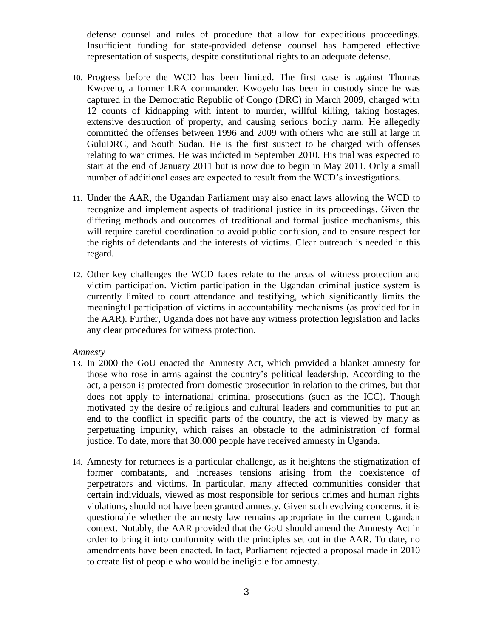defense counsel and rules of procedure that allow for expeditious proceedings. Insufficient funding for state-provided defense counsel has hampered effective representation of suspects, despite constitutional rights to an adequate defense.

- 10. Progress before the WCD has been limited. The first case is against Thomas Kwoyelo, a former LRA commander. Kwoyelo has been in custody since he was captured in the Democratic Republic of Congo (DRC) in March 2009, charged with 12 counts of kidnapping with intent to murder, willful killing, taking hostages, extensive destruction of property, and causing serious bodily harm. He allegedly committed the offenses between 1996 and 2009 with others who are still at large in GuluDRC, and South Sudan. He is the first suspect to be charged with offenses relating to war crimes. He was indicted in September 2010. His trial was expected to start at the end of January 2011 but is now due to begin in May 2011. Only a small number of additional cases are expected to result from the WCD's investigations.
- 11. Under the AAR, the Ugandan Parliament may also enact laws allowing the WCD to recognize and implement aspects of traditional justice in its proceedings. Given the differing methods and outcomes of traditional and formal justice mechanisms, this will require careful coordination to avoid public confusion, and to ensure respect for the rights of defendants and the interests of victims. Clear outreach is needed in this regard.
- 12. Other key challenges the WCD faces relate to the areas of witness protection and victim participation. Victim participation in the Ugandan criminal justice system is currently limited to court attendance and testifying, which significantly limits the meaningful participation of victims in accountability mechanisms (as provided for in the AAR). Further, Uganda does not have any witness protection legislation and lacks any clear procedures for witness protection.

#### *Amnesty*

- 13. In 2000 the GoU enacted the Amnesty Act, which provided a blanket amnesty for those who rose in arms against the country's political leadership. According to the act, a person is protected from domestic prosecution in relation to the crimes, but that does not apply to international criminal prosecutions (such as the ICC). Though motivated by the desire of religious and cultural leaders and communities to put an end to the conflict in specific parts of the country, the act is viewed by many as perpetuating impunity, which raises an obstacle to the administration of formal justice. To date, more that 30,000 people have received amnesty in Uganda.
- 14. Amnesty for returnees is a particular challenge, as it heightens the stigmatization of former combatants, and increases tensions arising from the coexistence of perpetrators and victims. In particular, many affected communities consider that certain individuals, viewed as most responsible for serious crimes and human rights violations, should not have been granted amnesty. Given such evolving concerns, it is questionable whether the amnesty law remains appropriate in the current Ugandan context. Notably, the AAR provided that the GoU should amend the Amnesty Act in order to bring it into conformity with the principles set out in the AAR. To date, no amendments have been enacted. In fact, Parliament rejected a proposal made in 2010 to create list of people who would be ineligible for amnesty.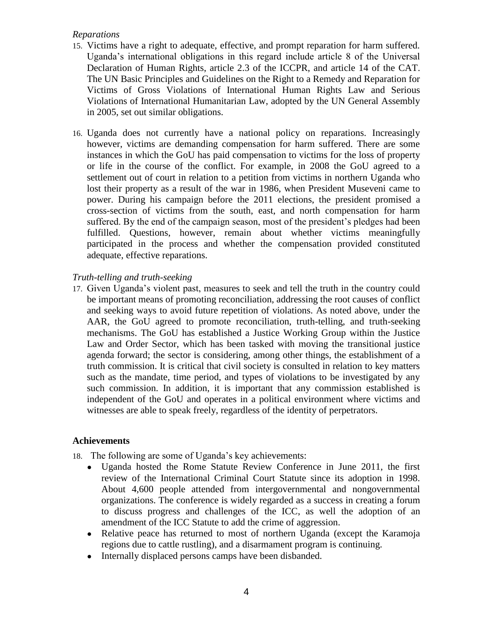### *Reparations*

- 15. Victims have a right to adequate, effective, and prompt reparation for harm suffered. Uganda's international obligations in this regard include article 8 of the Universal Declaration of Human Rights, article 2.3 of the ICCPR, and article 14 of the CAT. The UN Basic Principles and Guidelines on the Right to a Remedy and Reparation for Victims of Gross Violations of International Human Rights Law and Serious Violations of International Humanitarian Law, adopted by the UN General Assembly in 2005, set out similar obligations.
- 16. Uganda does not currently have a national policy on reparations. Increasingly however, victims are demanding compensation for harm suffered. There are some instances in which the GoU has paid compensation to victims for the loss of property or life in the course of the conflict. For example, in 2008 the GoU agreed to a settlement out of court in relation to a petition from victims in northern Uganda who lost their property as a result of the war in 1986, when President Museveni came to power. During his campaign before the 2011 elections, the president promised a cross-section of victims from the south, east, and north compensation for harm suffered. By the end of the campaign season, most of the president's pledges had been fulfilled. Questions, however, remain about whether victims meaningfully participated in the process and whether the compensation provided constituted adequate, effective reparations.

### *Truth-telling and truth-seeking*

17. Given Uganda's violent past, measures to seek and tell the truth in the country could be important means of promoting reconciliation, addressing the root causes of conflict and seeking ways to avoid future repetition of violations. As noted above, under the AAR, the GoU agreed to promote reconciliation, truth-telling, and truth-seeking mechanisms. The GoU has established a Justice Working Group within the Justice Law and Order Sector, which has been tasked with moving the transitional justice agenda forward; the sector is considering, among other things, the establishment of a truth commission. It is critical that civil society is consulted in relation to key matters such as the mandate, time period, and types of violations to be investigated by any such commission. In addition, it is important that any commission established is independent of the GoU and operates in a political environment where victims and witnesses are able to speak freely, regardless of the identity of perpetrators.

### **Achievements**

- 18. The following are some of Uganda's key achievements:
	- Uganda hosted the Rome Statute Review Conference in June 2011, the first review of the International Criminal Court Statute since its adoption in 1998. About 4,600 people attended from intergovernmental and nongovernmental organizations. The conference is widely regarded as a success in creating a forum to discuss progress and challenges of the ICC, as well the adoption of an amendment of the ICC Statute to add the crime of aggression.
	- Relative peace has returned to most of northern Uganda (except the Karamoja regions due to cattle rustling), and a disarmament program is continuing.
	- Internally displaced persons camps have been disbanded.